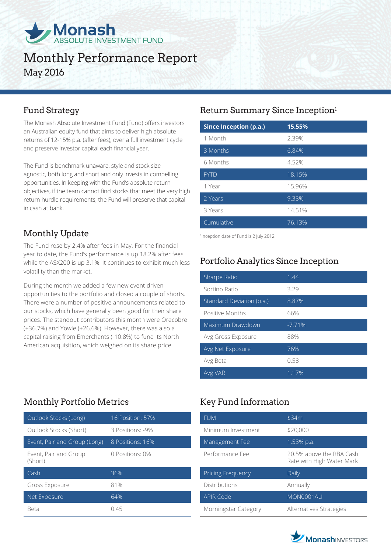

# Monthly Performance Report May 2016

The Monash Absolute Investment Fund (Fund) offers investors an Australian equity fund that aims to deliver high absolute returns of 12-15% p.a. (after fees), over a full investment cycle and preserve investor capital each financial year.

The Fund is benchmark unaware, style and stock size agnostic, both long and short and only invests in compelling opportunities. In keeping with the Fund's absolute return objectives, if the team cannot find stocks that meet the very high return hurdle requirements, the Fund will preserve that capital in cash at bank.

## Monthly Update

The Fund rose by 2.4% after fees in May. For the financial year to date, the Fund's performance is up 18.2% after fees while the ASX200 is up 3.1%. It continues to exhibit much less volatility than the market.

During the month we added a few new event driven opportunities to the portfolio and closed a couple of shorts. There were a number of positive announcements related to our stocks, which have generally been good for their share prices. The standout contributors this month were Orecobre (+36.7%) and Yowie (+26.6%). However, there was also a capital raising from Emerchants (-10.8%) to fund its North American acquisition, which weighed on its share price.

## Monthly Portfolio Metrics Key Fund Information

| Outlook Stocks (Long)            | 16 Position: 57% |
|----------------------------------|------------------|
| Outlook Stocks (Short)           | 3 Positions: -9% |
| Event, Pair and Group (Long)     | 8 Positions: 16% |
| Event, Pair and Group<br>(Short) | 0 Positions: 0%  |
| Cash                             | 36%              |
| Gross Exposure                   | 81%              |
| Net Exposure                     | 64%              |
| Beta                             | !) 45            |

## Fund Strategy **Return Summary Since Inception**<sup>1</sup>

| <b>Since Inception (p.a.)</b> | 15.55% |
|-------------------------------|--------|
| 1 Month                       | 2.39%  |
| 3 Months                      | 6.84%  |
| 6 Months                      | 4.52%  |
| <b>FYTD</b>                   | 18.15% |
| 1 Year                        | 15.96% |
| 2 Years                       | 9.33%  |
| 3 Years                       | 14.51% |
| Cumulative                    | 76.13% |

1 Inception date of Fund is 2 July 2012.

## Portfolio Analytics Since Inception

| Sharpe Ratio              | 1.44     |
|---------------------------|----------|
| Sortino Ratio             | 3.29     |
| Standard Deviation (p.a.) | 8.87%    |
| Positive Months           | 66%      |
| Maximum Drawdown          | $-7.71%$ |
| Avg Gross Exposure        | 88%      |
| Avg Net Exposure          | 76%      |
| Avg Beta                  | 0.58     |
| Avg VAR                   | 1.17%    |

| <b>FUM</b>           | \$34m                                                 |
|----------------------|-------------------------------------------------------|
| Minimum Investment   | \$20,000                                              |
| Management Fee       | 1.53% p.a.                                            |
| Performance Fee      | 20.5% above the RBA Cash<br>Rate with High Water Mark |
| Pricing Frequency    | Daily                                                 |
| Distributions        | Annually                                              |
| <b>APIR Code</b>     | MON0001AU                                             |
| Morningstar Category | Alternatives Strategies                               |

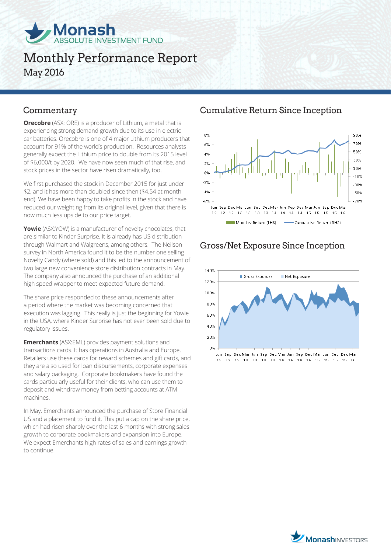

# Monthly Performance Report May 2016

**Orecobre** (ASX: ORE) is a producer of Lithium, a metal that is experiencing strong demand growth due to its use in electric car batteries. Orecobre is one of 4 major Lithium producers that account for 91% of the world's production. Resources analysts generally expect the Lithium price to double from its 2015 level of \$6,000/t by 2020. We have now seen much of that rise, and stock prices in the sector have risen dramatically, too.

We first purchased the stock in December 2015 for just under \$2, and it has more than doubled since then (\$4.54 at month end). We have been happy to take profits in the stock and have reduced our weighting from its original level, given that there is now much less upside to our price target.

**Yowie** (ASX:YOW) is a manufacturer of novelty chocolates, that are similar to Kinder Surprise. It is already has US distribution through Walmart and Walgreens, among others. The Neilson survey in North America found it to be the number one selling Novelty Candy (where sold) and this led to the announcement of two large new convenience store distribution contracts in May. The company also announced the purchase of an additional high speed wrapper to meet expected future demand.

The share price responded to these announcements after a period where the market was becoming concerned that execution was lagging. This really is just the beginning for Yowie in the USA, where Kinder Surprise has not ever been sold due to regulatory issues.

**Emerchants** (ASX:EML) provides payment solutions and transactions cards. It has operations in Australia and Europe. Retailers use these cards for reward schemes and gift cards, and they are also used for loan disbursements, corporate expenses and salary packaging. Corporate bookmakers have found the cards particularly useful for their clients, who can use them to deposit and withdraw money from betting accounts at ATM machines.

In May, Emerchants announced the purchase of Store Financial US and a placement to fund it. This put a cap on the share price, which had risen sharply over the last 6 months with strong sales growth to corporate bookmakers and expansion into Europe. We expect Emerchants high rates of sales and earnings growth to continue.

### Commentary Cumulative Return Since Inception



## Gross/Net Exposure Since Inception